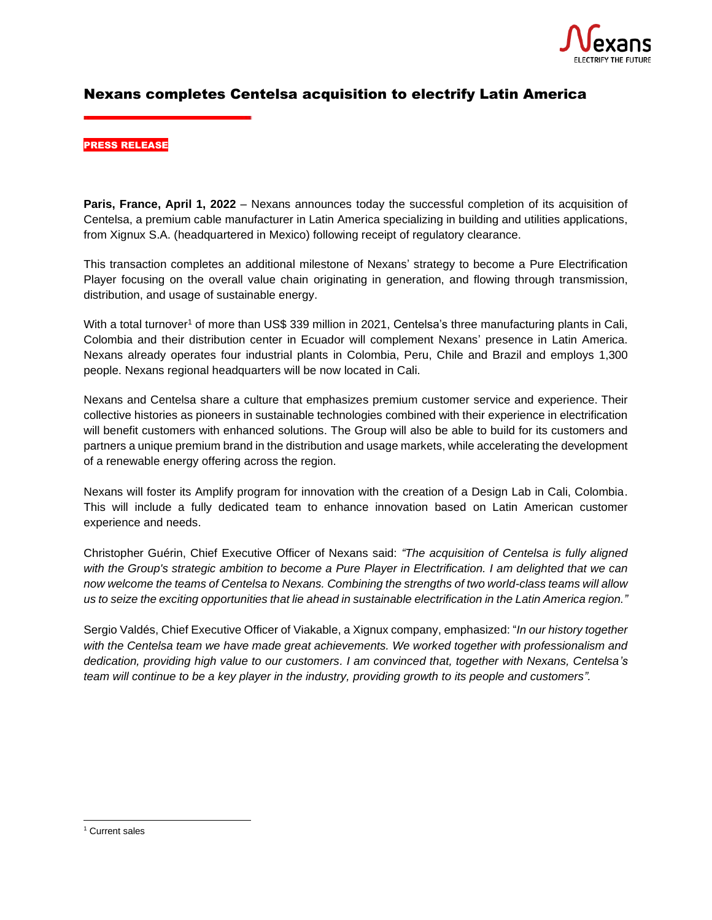

# Nexans completes Centelsa acquisition to electrify Latin America

#### PRESS RELEASE

**Paris, France, April 1, 2022** – Nexans announces today the successful completion of its acquisition of Centelsa, a premium cable manufacturer in Latin America specializing in building and utilities applications, from Xignux S.A. (headquartered in Mexico) following receipt of regulatory clearance.

This transaction completes an additional milestone of Nexans' strategy to become a Pure Electrification Player focusing on the overall value chain originating in generation, and flowing through transmission, distribution, and usage of sustainable energy.

With a total turnover<sup>1</sup> of more than US\$ 339 million in 2021, Centelsa's three manufacturing plants in Cali, Colombia and their distribution center in Ecuador will complement Nexans' presence in Latin America. Nexans already operates four industrial plants in Colombia, Peru, Chile and Brazil and employs 1,300 people. Nexans regional headquarters will be now located in Cali.

Nexans and Centelsa share a culture that emphasizes premium customer service and experience. Their collective histories as pioneers in sustainable technologies combined with their experience in electrification will benefit customers with enhanced solutions. The Group will also be able to build for its customers and partners a unique premium brand in the distribution and usage markets, while accelerating the development of a renewable energy offering across the region.

Nexans will foster its Amplify program for innovation with the creation of a Design Lab in Cali, Colombia. This will include a fully dedicated team to enhance innovation based on Latin American customer experience and needs.

Christopher Guérin, Chief Executive Officer of Nexans said: *"The acquisition of Centelsa is fully aligned with the Group's strategic ambition to become a Pure Player in Electrification. I am delighted that we can now welcome the teams of Centelsa to Nexans. Combining the strengths of two world-class teams will allow us to seize the exciting opportunities that lie ahead in sustainable electrification in the Latin America region."*

Sergio Valdés, Chief Executive Officer of Viakable, a Xignux company, emphasized: "*In our history together with the Centelsa team we have made great achievements. We worked together with professionalism and dedication, providing high value to our customers. I am convinced that, together with Nexans, Centelsa's team will continue to be a key player in the industry, providing growth to its people and customers".*

<sup>&</sup>lt;sup>1</sup> Current sales